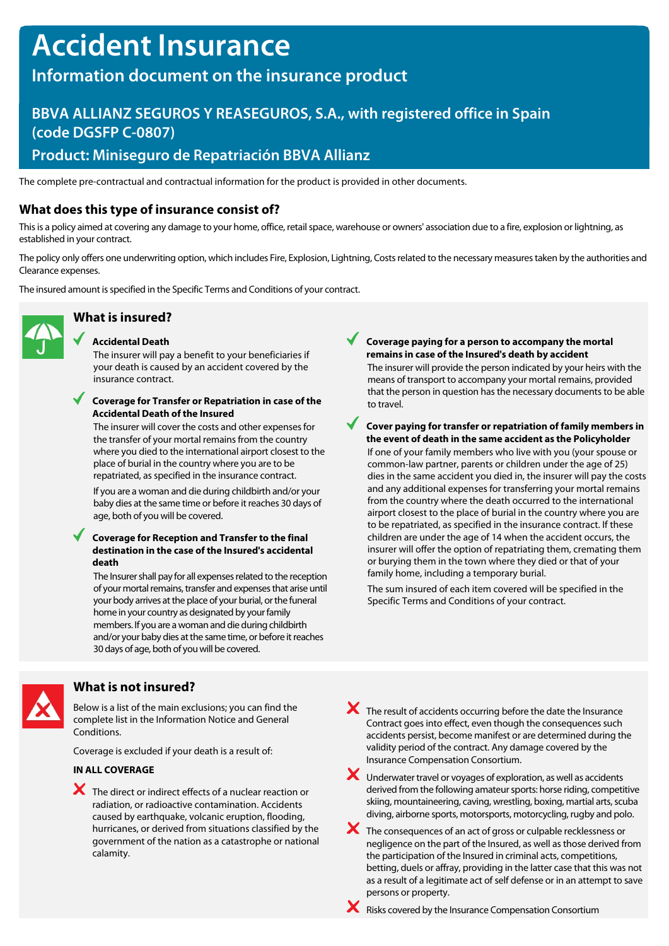# **Accident Insurance**

# **Information document on the insurance product**

# **BBVA ALLIANZ SEGUROS Y REASEGUROS, S.A., with registered office in Spain (code DGSFP C-0807)**

## **Product: Miniseguro de Repatriación BBVA Allianz**

The complete pre-contractual and contractual information for the product is provided in other documents.

## **What does this type of insurance consist of?**

This is a policy aimed at covering any damage to your home, office, retail space, warehouse or owners' association due to a fire, explosion or lightning, as established in your contract.

The policy only offers one underwriting option, which includes Fire, Explosion, Lightning, Costs related to the necessary measures taken by the authorities and Clearance expenses.

The insured amount is specified in the Specific Terms and Conditions of your contract.



# **What is insured?**

#### **Accidental Death**

The insurer will pay a benefit to your beneficiaries if your death is caused by an accident covered by the insurance contract.

### **Coverage for Transfer or Repatriation in case of the Accidental Death of the Insured**

The insurer will cover the costs and other expenses for the transfer of your mortal remains from the country where you died to the international airport closest to the place of burial in the country where you are to be repatriated, as specified in the insurance contract.

If you are a woman and die during childbirth and/or your baby dies at the same time or before it reaches 30 days of age, both of you will be covered.

### **Coverage for Reception and Transfer to the final destination in the case of the Insured's accidental death**

The Insurer shall pay for all expenses related to the reception of your mortal remains, transfer and expenses that arise until your body arrives at the place of your burial, or the funeral home in your country as designated by your family members. If you are a woman and die during childbirth and/or your baby dies at the same time, or before it reaches 30 days of age, both of you will be covered.

**Coverage paying for a person to accompany the mortal remains in case of the Insured's death by accident** The insurer will provide the person indicated by your heirs with the means of transport to accompany your mortal remains, provided that the person in question has the necessary documents to be able to travel.

#### **Cover paying for transfer or repatriation of family members in the event of death in the same accident as the Policyholder**

If one of your family members who live with you (your spouse or common-law partner, parents or children under the age of 25) dies in the same accident you died in, the insurer will pay the costs and any additional expenses for transferring your mortal remains from the country where the death occurred to the international airport closest to the place of burial in the country where you are to be repatriated, as specified in the insurance contract. If these children are under the age of 14 when the accident occurs, the insurer will offer the option of repatriating them, cremating them or burying them in the town where they died or that of your family home, including a temporary burial.

The sum insured of each item covered will be specified in the Specific Terms and Conditions of your contract.



### **What is not insured?**

Below is a list of the main exclusions; you can find the complete list in the Information Notice and General Conditions.

Coverage is excluded if your death is a result of:

### **IN ALL COVERAGE**

- The direct or indirect effects of a nuclear reaction or radiation, or radioactive contamination. Accidents caused by earthquake, volcanic eruption, flooding, hurricanes, or derived from situations classified by the government of the nation as a catastrophe or national calamity.
- The result of accidents occurring before the date the Insurance Contract goes into effect, even though the consequences such accidents persist, become manifest or are determined during the validity period of the contract. Any damage covered by the Insurance Compensation Consortium.
- Underwater travel or voyages of exploration, as well as accidents derived from the following amateur sports: horse riding, competitive skiing, mountaineering, caving, wrestling, boxing, martial arts, scuba diving, airborne sports, motorsports, motorcycling, rugby and polo.
- The consequences of an act of gross or culpable recklessness or negligence on the part of the Insured, as well as those derived from the participation of the Insured in criminal acts, competitions, betting, duels or affray, providing in the latter case that this was not as a result of a legitimate act of self defense or in an attempt to save persons or property.
- $\mathsf{\times}$  Risks covered by the Insurance Compensation Consortium